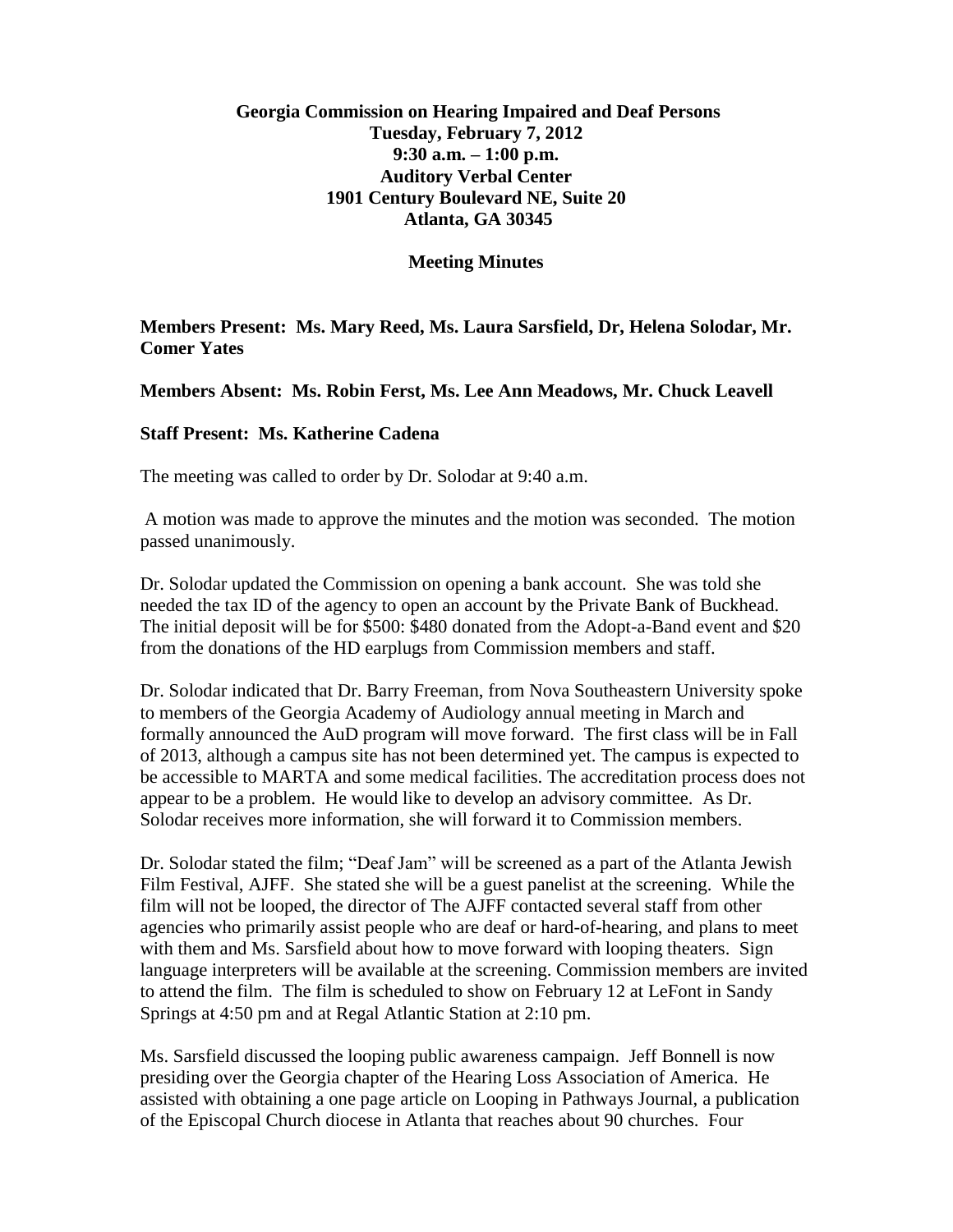## **Georgia Commission on Hearing Impaired and Deaf Persons Tuesday, February 7, 2012 9:30 a.m. – 1:00 p.m. Auditory Verbal Center 1901 Century Boulevard NE, Suite 20 Atlanta, GA 30345**

**Meeting Minutes**

**Members Present: Ms. Mary Reed, Ms. Laura Sarsfield, Dr, Helena Solodar, Mr. Comer Yates**

**Members Absent: Ms. Robin Ferst, Ms. Lee Ann Meadows, Mr. Chuck Leavell**

## **Staff Present: Ms. Katherine Cadena**

The meeting was called to order by Dr. Solodar at 9:40 a.m.

A motion was made to approve the minutes and the motion was seconded. The motion passed unanimously.

Dr. Solodar updated the Commission on opening a bank account. She was told she needed the tax ID of the agency to open an account by the Private Bank of Buckhead. The initial deposit will be for \$500: \$480 donated from the Adopt-a-Band event and \$20 from the donations of the HD earplugs from Commission members and staff.

Dr. Solodar indicated that Dr. Barry Freeman, from Nova Southeastern University spoke to members of the Georgia Academy of Audiology annual meeting in March and formally announced the AuD program will move forward. The first class will be in Fall of 2013, although a campus site has not been determined yet. The campus is expected to be accessible to MARTA and some medical facilities. The accreditation process does not appear to be a problem. He would like to develop an advisory committee. As Dr. Solodar receives more information, she will forward it to Commission members.

Dr. Solodar stated the film; "Deaf Jam" will be screened as a part of the Atlanta Jewish Film Festival, AJFF. She stated she will be a guest panelist at the screening. While the film will not be looped, the director of The AJFF contacted several staff from other agencies who primarily assist people who are deaf or hard-of-hearing, and plans to meet with them and Ms. Sarsfield about how to move forward with looping theaters. Sign language interpreters will be available at the screening. Commission members are invited to attend the film. The film is scheduled to show on February 12 at LeFont in Sandy Springs at 4:50 pm and at Regal Atlantic Station at 2:10 pm.

Ms. Sarsfield discussed the looping public awareness campaign. Jeff Bonnell is now presiding over the Georgia chapter of the Hearing Loss Association of America. He assisted with obtaining a one page article on Looping in Pathways Journal, a publication of the Episcopal Church diocese in Atlanta that reaches about 90 churches. Four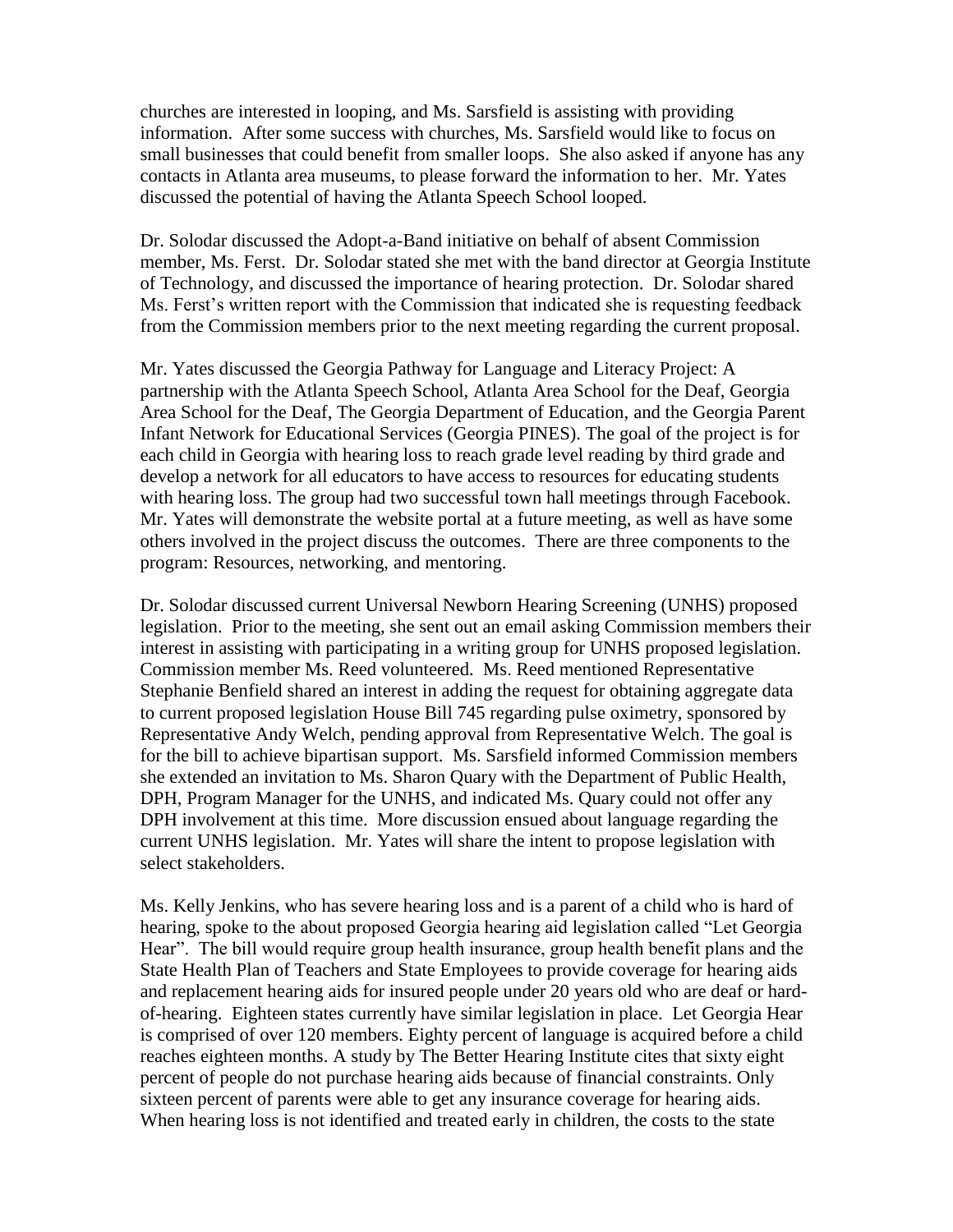churches are interested in looping, and Ms. Sarsfield is assisting with providing information. After some success with churches, Ms. Sarsfield would like to focus on small businesses that could benefit from smaller loops. She also asked if anyone has any contacts in Atlanta area museums, to please forward the information to her. Mr. Yates discussed the potential of having the Atlanta Speech School looped.

Dr. Solodar discussed the Adopt-a-Band initiative on behalf of absent Commission member, Ms. Ferst. Dr. Solodar stated she met with the band director at Georgia Institute of Technology, and discussed the importance of hearing protection. Dr. Solodar shared Ms. Ferst's written report with the Commission that indicated she is requesting feedback from the Commission members prior to the next meeting regarding the current proposal.

Mr. Yates discussed the Georgia Pathway for Language and Literacy Project: A partnership with the Atlanta Speech School, Atlanta Area School for the Deaf, Georgia Area School for the Deaf, The Georgia Department of Education, and the Georgia Parent Infant Network for Educational Services (Georgia PINES). The goal of the project is for each child in Georgia with hearing loss to reach grade level reading by third grade and develop a network for all educators to have access to resources for educating students with hearing loss. The group had two successful town hall meetings through Facebook. Mr. Yates will demonstrate the website portal at a future meeting, as well as have some others involved in the project discuss the outcomes. There are three components to the program: Resources, networking, and mentoring.

Dr. Solodar discussed current Universal Newborn Hearing Screening (UNHS) proposed legislation. Prior to the meeting, she sent out an email asking Commission members their interest in assisting with participating in a writing group for UNHS proposed legislation. Commission member Ms. Reed volunteered. Ms. Reed mentioned Representative Stephanie Benfield shared an interest in adding the request for obtaining aggregate data to current proposed legislation House Bill 745 regarding pulse oximetry, sponsored by Representative Andy Welch, pending approval from Representative Welch. The goal is for the bill to achieve bipartisan support. Ms. Sarsfield informed Commission members she extended an invitation to Ms. Sharon Quary with the Department of Public Health, DPH, Program Manager for the UNHS, and indicated Ms. Quary could not offer any DPH involvement at this time. More discussion ensued about language regarding the current UNHS legislation. Mr. Yates will share the intent to propose legislation with select stakeholders.

Ms. Kelly Jenkins, who has severe hearing loss and is a parent of a child who is hard of hearing, spoke to the about proposed Georgia hearing aid legislation called "Let Georgia Hear". The bill would require group health insurance, group health benefit plans and the State Health Plan of Teachers and State Employees to provide coverage for hearing aids and replacement hearing aids for insured people under 20 years old who are deaf or hardof-hearing. Eighteen states currently have similar legislation in place. Let Georgia Hear is comprised of over 120 members. Eighty percent of language is acquired before a child reaches eighteen months. A study by The Better Hearing Institute cites that sixty eight percent of people do not purchase hearing aids because of financial constraints. Only sixteen percent of parents were able to get any insurance coverage for hearing aids. When hearing loss is not identified and treated early in children, the costs to the state